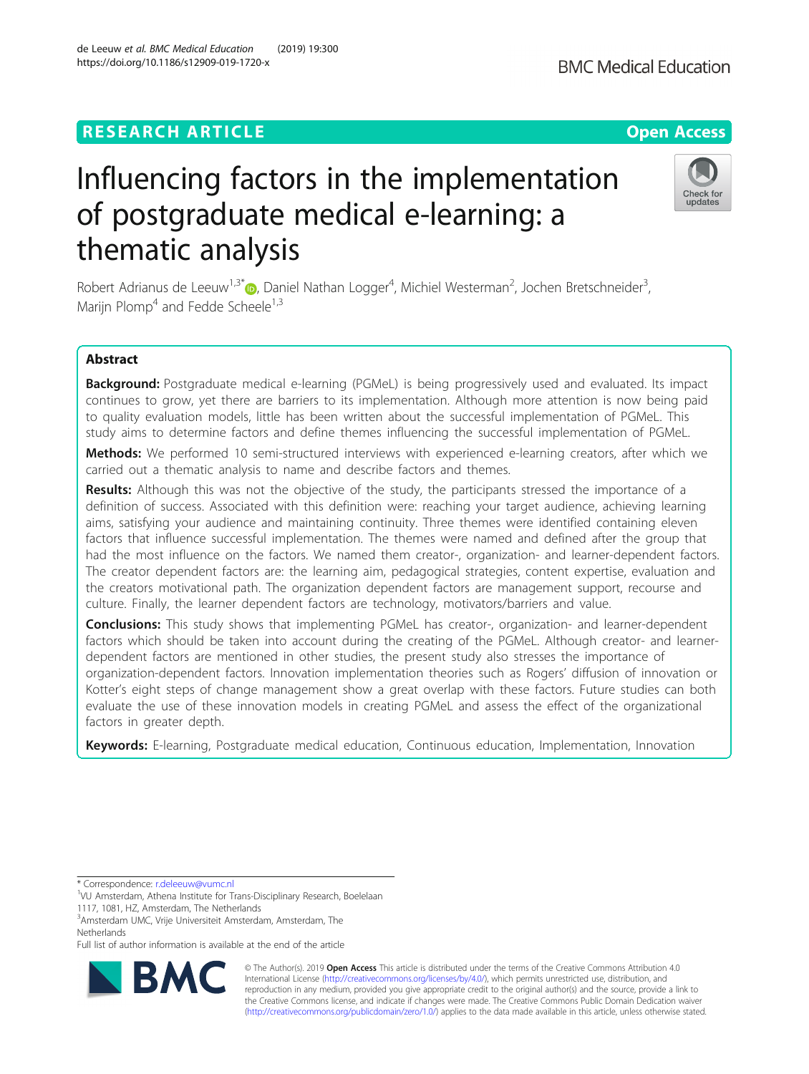## **RESEARCH ARTICLE Example 2014 12:30 The Contract of Contract ACCESS**

# Influencing factors in the implementation of postgraduate medical e-learning: a thematic analysis

Robert Adrianus de Leeuw<sup>1,3[\\*](http://orcid.org/0000-0002-9344-7754)</sup> (D, Daniel Nathan Logger<sup>4</sup>, Michiel Westerman<sup>2</sup>, Jochen Bretschneider<sup>3</sup> , Marijn Plomp<sup>4</sup> and Fedde Scheele<sup>1,3</sup>

## Abstract

Background: Postgraduate medical e-learning (PGMeL) is being progressively used and evaluated. Its impact continues to grow, yet there are barriers to its implementation. Although more attention is now being paid to quality evaluation models, little has been written about the successful implementation of PGMeL. This study aims to determine factors and define themes influencing the successful implementation of PGMeL.

Methods: We performed 10 semi-structured interviews with experienced e-learning creators, after which we carried out a thematic analysis to name and describe factors and themes.

**Results:** Although this was not the objective of the study, the participants stressed the importance of a definition of success. Associated with this definition were: reaching your target audience, achieving learning aims, satisfying your audience and maintaining continuity. Three themes were identified containing eleven factors that influence successful implementation. The themes were named and defined after the group that had the most influence on the factors. We named them creator-, organization- and learner-dependent factors. The creator dependent factors are: the learning aim, pedagogical strategies, content expertise, evaluation and the creators motivational path. The organization dependent factors are management support, recourse and culture. Finally, the learner dependent factors are technology, motivators/barriers and value.

**Conclusions:** This study shows that implementing PGMeL has creator-, organization- and learner-dependent factors which should be taken into account during the creating of the PGMeL. Although creator- and learnerdependent factors are mentioned in other studies, the present study also stresses the importance of organization-dependent factors. Innovation implementation theories such as Rogers' diffusion of innovation or Kotter's eight steps of change management show a great overlap with these factors. Future studies can both evaluate the use of these innovation models in creating PGMeL and assess the effect of the organizational factors in greater depth.

Keywords: E-learning, Postgraduate medical education, Continuous education, Implementation, Innovation

© The Author(s). 2019 **Open Access** This article is distributed under the terms of the Creative Commons Attribution 4.0 International License [\(http://creativecommons.org/licenses/by/4.0/](http://creativecommons.org/licenses/by/4.0/)), which permits unrestricted use, distribution, and reproduction in any medium, provided you give appropriate credit to the original author(s) and the source, provide a link to the Creative Commons license, and indicate if changes were made. The Creative Commons Public Domain Dedication waiver [\(http://creativecommons.org/publicdomain/zero/1.0/](http://creativecommons.org/publicdomain/zero/1.0/)) applies to the data made available in this article, unless otherwise stated.







VU Amsterdam, Athena Institute for Trans-Disciplinary Research, Boelelaan

<sup>1117, 1081,</sup> HZ, Amsterdam, The Netherlands

<sup>&</sup>lt;sup>3</sup> Amsterdam UMC, Vrije Universiteit Amsterdam, Amsterdam, The **Netherlands** 

Full list of author information is available at the end of the article

<sup>\*</sup> Correspondence: [r.deleeuw@vumc.nl](mailto:r.deleeuw@vumc.nl) <sup>1</sup>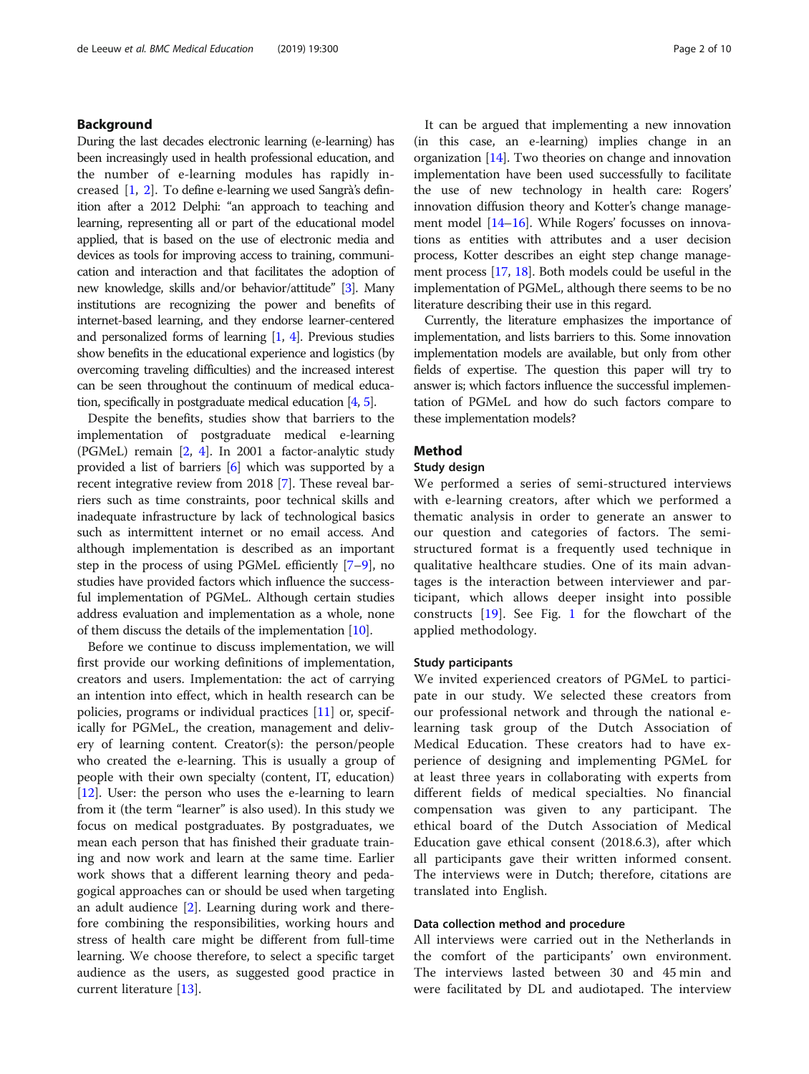## Background

During the last decades electronic learning (e-learning) has been increasingly used in health professional education, and the number of e-learning modules has rapidly increased [[1,](#page-9-0) [2\]](#page-9-0). To define e-learning we used Sangrà's definition after a 2012 Delphi: "an approach to teaching and learning, representing all or part of the educational model applied, that is based on the use of electronic media and devices as tools for improving access to training, communication and interaction and that facilitates the adoption of new knowledge, skills and/or behavior/attitude" [\[3\]](#page-9-0). Many institutions are recognizing the power and benefits of internet-based learning, and they endorse learner-centered and personalized forms of learning  $[1, 4]$  $[1, 4]$  $[1, 4]$  $[1, 4]$ . Previous studies show benefits in the educational experience and logistics (by overcoming traveling difficulties) and the increased interest can be seen throughout the continuum of medical education, specifically in postgraduate medical education [[4](#page-9-0), [5](#page-9-0)].

Despite the benefits, studies show that barriers to the implementation of postgraduate medical e-learning (PGMeL) remain [[2,](#page-9-0) [4](#page-9-0)]. In 2001 a factor-analytic study provided a list of barriers [[6\]](#page-9-0) which was supported by a recent integrative review from 2018 [\[7](#page-9-0)]. These reveal barriers such as time constraints, poor technical skills and inadequate infrastructure by lack of technological basics such as intermittent internet or no email access. And although implementation is described as an important step in the process of using PGMeL efficiently [[7](#page-9-0)–[9](#page-9-0)], no studies have provided factors which influence the successful implementation of PGMeL. Although certain studies address evaluation and implementation as a whole, none of them discuss the details of the implementation [[10](#page-9-0)].

Before we continue to discuss implementation, we will first provide our working definitions of implementation, creators and users. Implementation: the act of carrying an intention into effect, which in health research can be policies, programs or individual practices [[11](#page-9-0)] or, specifically for PGMeL, the creation, management and delivery of learning content. Creator(s): the person/people who created the e-learning. This is usually a group of people with their own specialty (content, IT, education) [[12\]](#page-9-0). User: the person who uses the e-learning to learn from it (the term "learner" is also used). In this study we focus on medical postgraduates. By postgraduates, we mean each person that has finished their graduate training and now work and learn at the same time. Earlier work shows that a different learning theory and pedagogical approaches can or should be used when targeting an adult audience [[2\]](#page-9-0). Learning during work and therefore combining the responsibilities, working hours and stress of health care might be different from full-time learning. We choose therefore, to select a specific target audience as the users, as suggested good practice in current literature [\[13\]](#page-9-0).

It can be argued that implementing a new innovation (in this case, an e-learning) implies change in an organization  $[14]$  $[14]$  $[14]$ . Two theories on change and innovation implementation have been used successfully to facilitate the use of new technology in health care: Rogers' innovation diffusion theory and Kotter's change management model [[14](#page-9-0)–[16\]](#page-9-0). While Rogers' focusses on innovations as entities with attributes and a user decision process, Kotter describes an eight step change management process [\[17](#page-9-0), [18\]](#page-9-0). Both models could be useful in the implementation of PGMeL, although there seems to be no literature describing their use in this regard.

Currently, the literature emphasizes the importance of implementation, and lists barriers to this. Some innovation implementation models are available, but only from other fields of expertise. The question this paper will try to answer is; which factors influence the successful implementation of PGMeL and how do such factors compare to these implementation models?

## Method

## Study design

We performed a series of semi-structured interviews with e-learning creators, after which we performed a thematic analysis in order to generate an answer to our question and categories of factors. The semistructured format is a frequently used technique in qualitative healthcare studies. One of its main advantages is the interaction between interviewer and participant, which allows deeper insight into possible constructs [[19](#page-9-0)]. See Fig. [1](#page-2-0) for the flowchart of the applied methodology.

#### Study participants

We invited experienced creators of PGMeL to participate in our study. We selected these creators from our professional network and through the national elearning task group of the Dutch Association of Medical Education. These creators had to have experience of designing and implementing PGMeL for at least three years in collaborating with experts from different fields of medical specialties. No financial compensation was given to any participant. The ethical board of the Dutch Association of Medical Education gave ethical consent (2018.6.3), after which all participants gave their written informed consent. The interviews were in Dutch; therefore, citations are translated into English.

## Data collection method and procedure

All interviews were carried out in the Netherlands in the comfort of the participants' own environment. The interviews lasted between 30 and 45 min and were facilitated by DL and audiotaped. The interview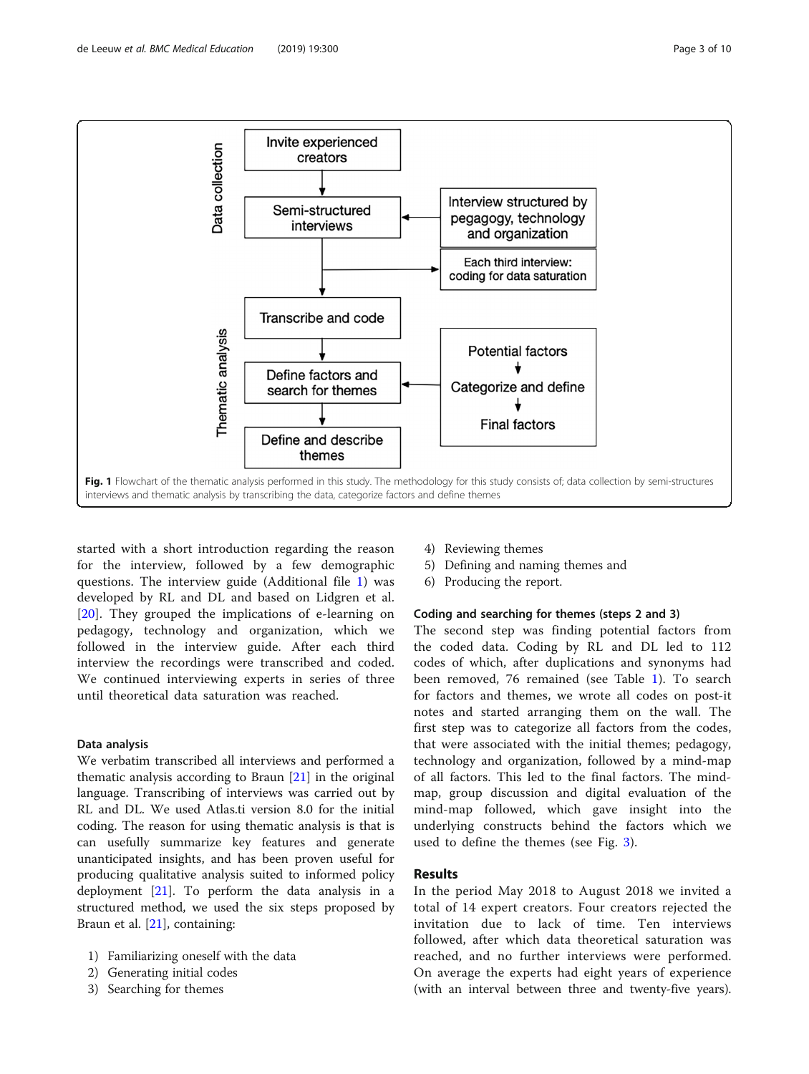<span id="page-2-0"></span>

started with a short introduction regarding the reason for the interview, followed by a few demographic questions. The interview guide (Additional file [1\)](#page-9-0) was developed by RL and DL and based on Lidgren et al. [[20\]](#page-9-0). They grouped the implications of e-learning on pedagogy, technology and organization, which we followed in the interview guide. After each third interview the recordings were transcribed and coded. We continued interviewing experts in series of three until theoretical data saturation was reached.

## Data analysis

We verbatim transcribed all interviews and performed a thematic analysis according to Braun [[21\]](#page-9-0) in the original language. Transcribing of interviews was carried out by RL and DL. We used Atlas.ti version 8.0 for the initial coding. The reason for using thematic analysis is that is can usefully summarize key features and generate unanticipated insights, and has been proven useful for producing qualitative analysis suited to informed policy deployment [\[21\]](#page-9-0). To perform the data analysis in a structured method, we used the six steps proposed by Braun et al. [[21\]](#page-9-0), containing:

- 1) Familiarizing oneself with the data
- 2) Generating initial codes
- 3) Searching for themes
- 4) Reviewing themes
- 5) Defining and naming themes and
- 6) Producing the report.

## Coding and searching for themes (steps 2 and 3)

The second step was finding potential factors from the coded data. Coding by RL and DL led to 112 codes of which, after duplications and synonyms had been removed, 76 remained (see Table [1\)](#page-3-0). To search for factors and themes, we wrote all codes on post-it notes and started arranging them on the wall. The first step was to categorize all factors from the codes, that were associated with the initial themes; pedagogy, technology and organization, followed by a mind-map of all factors. This led to the final factors. The mindmap, group discussion and digital evaluation of the mind-map followed, which gave insight into the underlying constructs behind the factors which we used to define the themes (see Fig. [3](#page-8-0)).

## Results

In the period May 2018 to August 2018 we invited a total of 14 expert creators. Four creators rejected the invitation due to lack of time. Ten interviews followed, after which data theoretical saturation was reached, and no further interviews were performed. On average the experts had eight years of experience (with an interval between three and twenty-five years).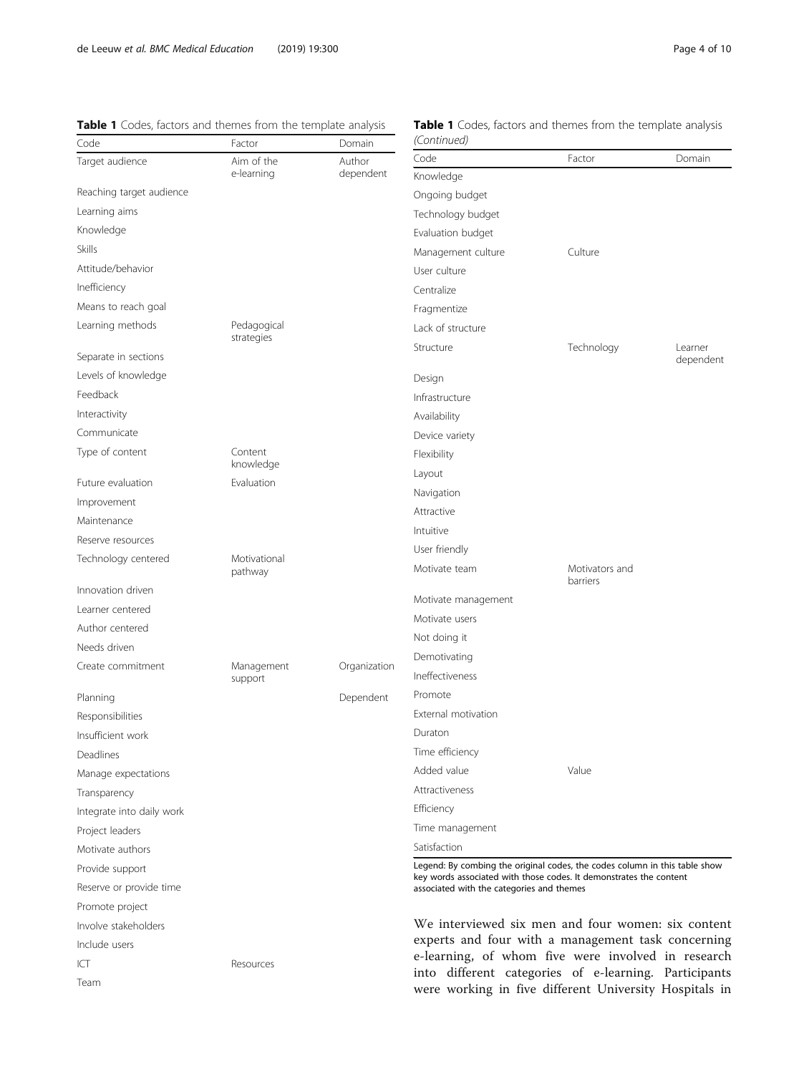Team

## <span id="page-3-0"></span>Table 1 Codes, factors and themes from the template analysis

## Table 1 Codes, factors and themes from the template analysis (Continued)

| Code                      | Factor                    | Domain       | (Continued)                                                                                                     |                            |                      |
|---------------------------|---------------------------|--------------|-----------------------------------------------------------------------------------------------------------------|----------------------------|----------------------|
| Target audience           | Aim of the                | Author       | Code                                                                                                            | Factor                     | Domain               |
|                           | e-learning                | dependent    | Knowledge                                                                                                       |                            |                      |
| Reaching target audience  |                           |              | Ongoing budget                                                                                                  |                            |                      |
| Learning aims             |                           |              | Technology budget                                                                                               |                            |                      |
| Knowledge                 |                           |              | Evaluation budget                                                                                               |                            |                      |
| <b>Skills</b>             |                           |              | Management culture                                                                                              | Culture                    |                      |
| Attitude/behavior         |                           |              | User culture                                                                                                    |                            |                      |
| Inefficiency              |                           |              | Centralize                                                                                                      |                            |                      |
| Means to reach goal       |                           |              | Fragmentize                                                                                                     |                            |                      |
| Learning methods          | Pedagogical<br>strategies |              | Lack of structure                                                                                               |                            |                      |
| Separate in sections      |                           |              | Structure                                                                                                       | Technology                 | Learner<br>dependent |
| Levels of knowledge       |                           |              | Design                                                                                                          |                            |                      |
| Feedback                  |                           |              | Infrastructure                                                                                                  |                            |                      |
| Interactivity             |                           |              | Availability                                                                                                    |                            |                      |
| Communicate               |                           |              | Device variety                                                                                                  |                            |                      |
| Type of content           | Content                   |              | Flexibility                                                                                                     |                            |                      |
|                           | knowledge                 |              | Layout                                                                                                          |                            |                      |
| Future evaluation         | Evaluation                |              | Navigation                                                                                                      |                            |                      |
| Improvement               |                           |              | Attractive                                                                                                      |                            |                      |
| Maintenance               |                           |              | Intuitive                                                                                                       |                            |                      |
| Reserve resources         |                           |              | User friendly                                                                                                   |                            |                      |
| Technology centered       | Motivational<br>pathway   |              | Motivate team                                                                                                   | Motivators and<br>barriers |                      |
| Innovation driven         |                           |              |                                                                                                                 |                            |                      |
| Learner centered          |                           |              | Motivate management                                                                                             |                            |                      |
| Author centered           |                           |              | Motivate users                                                                                                  |                            |                      |
| Needs driven              |                           |              | Not doing it                                                                                                    |                            |                      |
| Create commitment         | Management<br>support     | Organization | Demotivating<br>Ineffectiveness                                                                                 |                            |                      |
| Planning                  |                           | Dependent    | Promote                                                                                                         |                            |                      |
| Responsibilities          |                           |              | External motivation                                                                                             |                            |                      |
| Insufficient work         |                           |              | Duraton                                                                                                         |                            |                      |
| Deadlines                 |                           |              | Time efficiency                                                                                                 |                            |                      |
| Manage expectations       |                           |              | Added value                                                                                                     | Value                      |                      |
| Transparency              |                           |              | Attractiveness                                                                                                  |                            |                      |
| Integrate into daily work |                           |              | Efficiency                                                                                                      |                            |                      |
| Project leaders           |                           |              | Time management                                                                                                 |                            |                      |
| Motivate authors          |                           |              | Satisfaction                                                                                                    |                            |                      |
| Provide support           |                           |              | Legend: By combing the original codes, the codes column in this table show                                      |                            |                      |
| Reserve or provide time   |                           |              | key words associated with those codes. It demonstrates the content<br>associated with the categories and themes |                            |                      |
| Promote project           |                           |              |                                                                                                                 |                            |                      |
| Involve stakeholders      |                           |              | We interviewed six men and four women: six content                                                              |                            |                      |
| Include users             |                           |              | experts and four with a management task concerning                                                              |                            |                      |
| ICT                       | Resources                 |              | e-learning, of whom five were involved in research<br>into different categories of e-learning Participants      |                            |                      |
|                           |                           |              |                                                                                                                 |                            |                      |

experts and four with a management task concerning e-learning, of whom five were involved in research into different categories of e-learning. Participants were working in five different University Hospitals in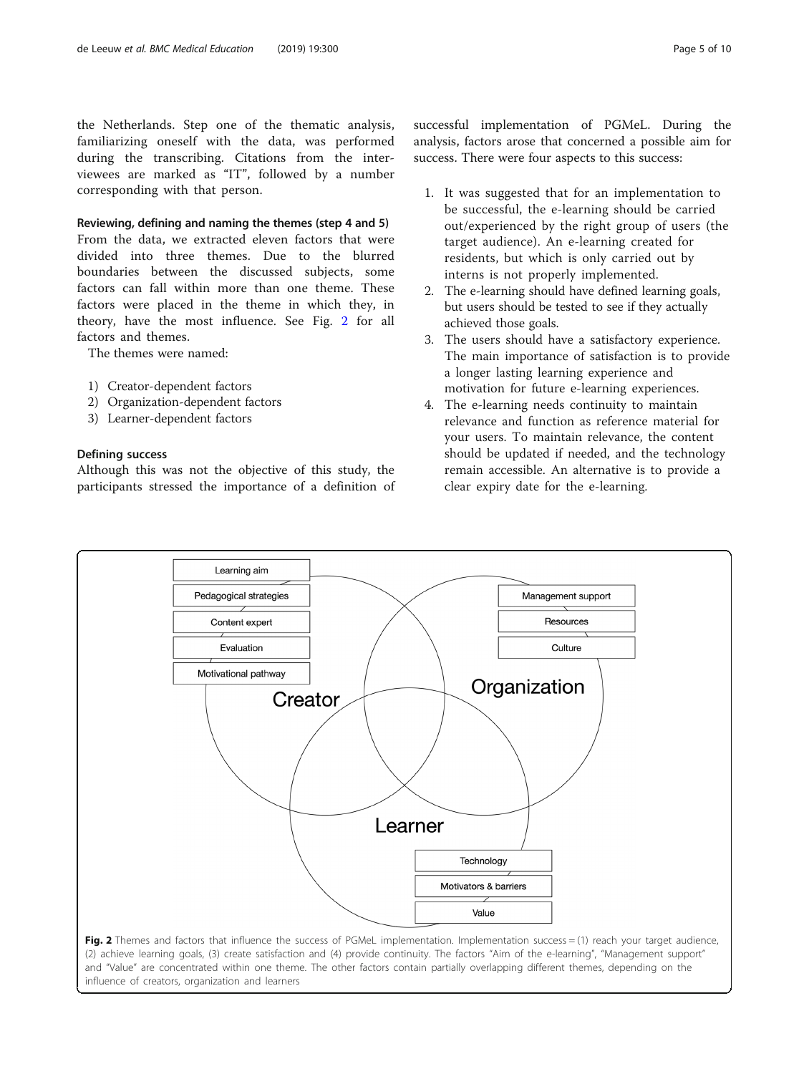the Netherlands. Step one of the thematic analysis, familiarizing oneself with the data, was performed during the transcribing. Citations from the interviewees are marked as "IT", followed by a number corresponding with that person.

## Reviewing, defining and naming the themes (step 4 and 5)

From the data, we extracted eleven factors that were divided into three themes. Due to the blurred boundaries between the discussed subjects, some factors can fall within more than one theme. These factors were placed in the theme in which they, in theory, have the most influence. See Fig. 2 for all factors and themes.

The themes were named:

- 1) Creator-dependent factors
- 2) Organization-dependent factors
- 3) Learner-dependent factors

#### Defining success

Although this was not the objective of this study, the participants stressed the importance of a definition of successful implementation of PGMeL. During the analysis, factors arose that concerned a possible aim for success. There were four aspects to this success:

- 1. It was suggested that for an implementation to be successful, the e-learning should be carried out/experienced by the right group of users (the target audience). An e-learning created for residents, but which is only carried out by interns is not properly implemented.
- 2. The e-learning should have defined learning goals, but users should be tested to see if they actually achieved those goals.
- 3. The users should have a satisfactory experience. The main importance of satisfaction is to provide a longer lasting learning experience and motivation for future e-learning experiences.
- 4. The e-learning needs continuity to maintain relevance and function as reference material for your users. To maintain relevance, the content should be updated if needed, and the technology remain accessible. An alternative is to provide a clear expiry date for the e-learning.

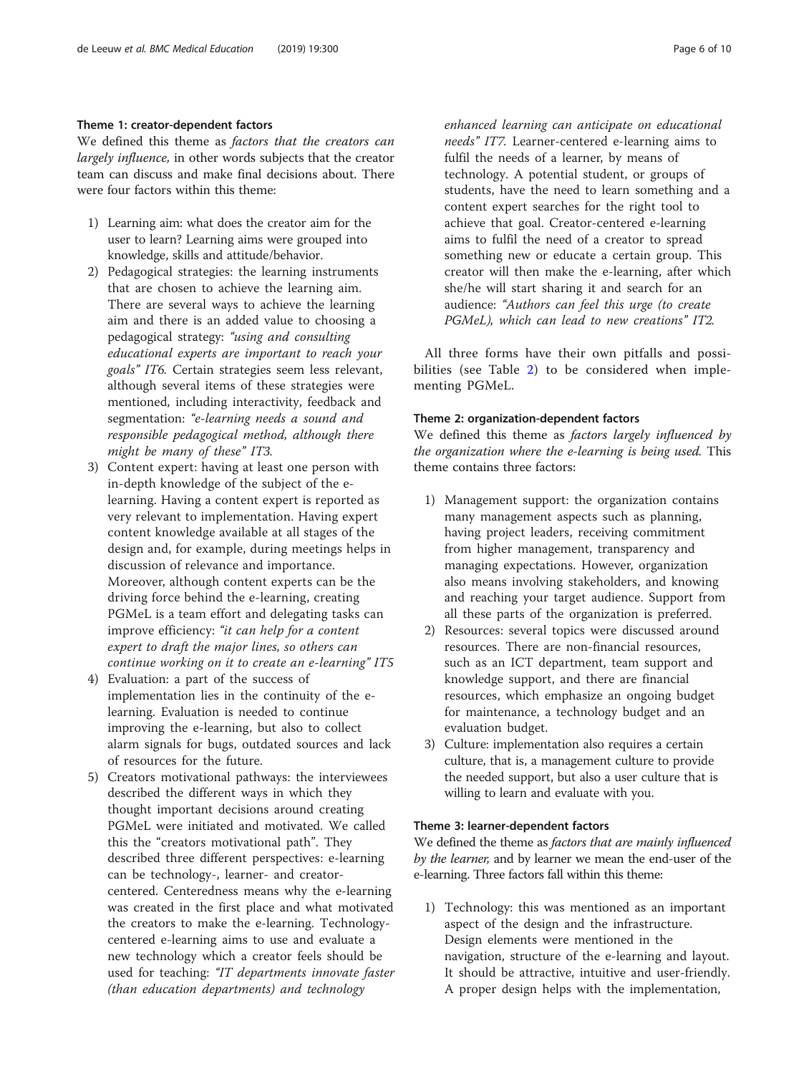## Theme 1: creator-dependent factors

We defined this theme as factors that the creators can largely influence, in other words subjects that the creator team can discuss and make final decisions about. There were four factors within this theme:

- 1) Learning aim: what does the creator aim for the user to learn? Learning aims were grouped into knowledge, skills and attitude/behavior.
- 2) Pedagogical strategies: the learning instruments that are chosen to achieve the learning aim. There are several ways to achieve the learning aim and there is an added value to choosing a pedagogical strategy: "using and consulting educational experts are important to reach your goals" IT6. Certain strategies seem less relevant, although several items of these strategies were mentioned, including interactivity, feedback and segmentation: "e-learning needs a sound and responsible pedagogical method, although there might be many of these" IT3.
- 3) Content expert: having at least one person with in-depth knowledge of the subject of the elearning. Having a content expert is reported as very relevant to implementation. Having expert content knowledge available at all stages of the design and, for example, during meetings helps in discussion of relevance and importance. Moreover, although content experts can be the driving force behind the e-learning, creating PGMeL is a team effort and delegating tasks can improve efficiency: "it can help for a content expert to draft the major lines, so others can continue working on it to create an e-learning" IT5
- 4) Evaluation: a part of the success of implementation lies in the continuity of the elearning. Evaluation is needed to continue improving the e-learning, but also to collect alarm signals for bugs, outdated sources and lack of resources for the future.
- 5) Creators motivational pathways: the interviewees described the different ways in which they thought important decisions around creating PGMeL were initiated and motivated. We called this the "creators motivational path". They described three different perspectives: e-learning can be technology-, learner- and creatorcentered. Centeredness means why the e-learning was created in the first place and what motivated the creators to make the e-learning. Technologycentered e-learning aims to use and evaluate a new technology which a creator feels should be used for teaching: "IT departments innovate faster (than education departments) and technology

enhanced learning can anticipate on educational needs" IT7. Learner-centered e-learning aims to fulfil the needs of a learner, by means of technology. A potential student, or groups of students, have the need to learn something and a content expert searches for the right tool to achieve that goal. Creator-centered e-learning aims to fulfil the need of a creator to spread something new or educate a certain group. This creator will then make the e-learning, after which she/he will start sharing it and search for an audience: "Authors can feel this urge (to create PGMeL), which can lead to new creations" IT2.

All three forms have their own pitfalls and possibilities (see Table [2](#page-6-0)) to be considered when implementing PGMeL.

#### Theme 2: organization-dependent factors

We defined this theme as factors largely influenced by the organization where the e-learning is being used. This theme contains three factors:

- 1) Management support: the organization contains many management aspects such as planning, having project leaders, receiving commitment from higher management, transparency and managing expectations. However, organization also means involving stakeholders, and knowing and reaching your target audience. Support from all these parts of the organization is preferred.
- 2) Resources: several topics were discussed around resources. There are non-financial resources, such as an ICT department, team support and knowledge support, and there are financial resources, which emphasize an ongoing budget for maintenance, a technology budget and an evaluation budget.
- 3) Culture: implementation also requires a certain culture, that is, a management culture to provide the needed support, but also a user culture that is willing to learn and evaluate with you.

#### Theme 3: learner-dependent factors

We defined the theme as factors that are mainly influenced by the learner, and by learner we mean the end-user of the e-learning. Three factors fall within this theme:

1) Technology: this was mentioned as an important aspect of the design and the infrastructure. Design elements were mentioned in the navigation, structure of the e-learning and layout. It should be attractive, intuitive and user-friendly. A proper design helps with the implementation,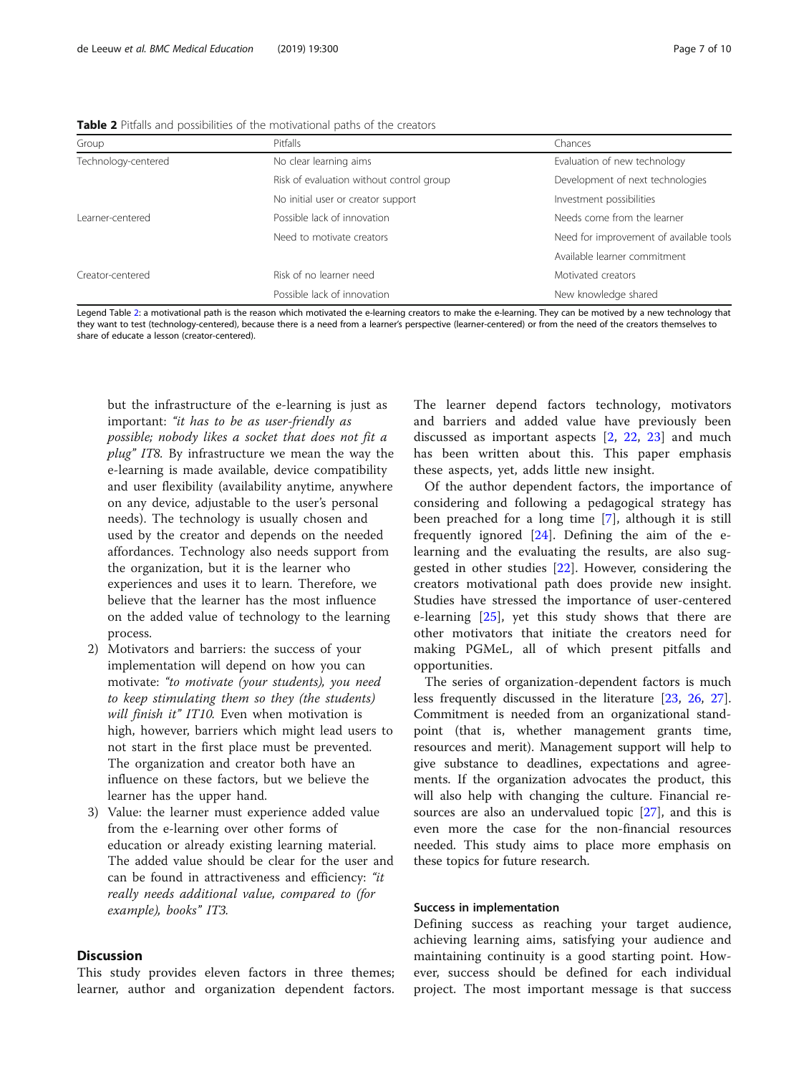<span id="page-6-0"></span>Table 2 Pitfalls and possibilities of the motivational paths of the creators

| Group               | Pitfalls                                 | Chances                                 |
|---------------------|------------------------------------------|-----------------------------------------|
| Technology-centered | No clear learning aims                   | Evaluation of new technology            |
|                     | Risk of evaluation without control group | Development of next technologies        |
|                     | No initial user or creator support       | Investment possibilities                |
| Learner-centered    | Possible lack of innovation              | Needs come from the learner             |
|                     | Need to motivate creators                | Need for improvement of available tools |
|                     |                                          | Available learner commitment            |
| Creator-centered    | Risk of no learner need                  | Motivated creators                      |
|                     | Possible lack of innovation              | New knowledge shared                    |

Legend Table 2: a motivational path is the reason which motivated the e-learning creators to make the e-learning. They can be motived by a new technology that they want to test (technology-centered), because there is a need from a learner's perspective (learner-centered) or from the need of the creators themselves to share of educate a lesson (creator-centered).

but the infrastructure of the e-learning is just as important: "it has to be as user-friendly as possible; nobody likes a socket that does not fit a plug" IT8. By infrastructure we mean the way the e-learning is made available, device compatibility and user flexibility (availability anytime, anywhere on any device, adjustable to the user's personal needs). The technology is usually chosen and used by the creator and depends on the needed affordances. Technology also needs support from the organization, but it is the learner who experiences and uses it to learn. Therefore, we believe that the learner has the most influence on the added value of technology to the learning process.

- 2) Motivators and barriers: the success of your implementation will depend on how you can motivate: "to motivate (your students), you need to keep stimulating them so they (the students) will finish it" IT10. Even when motivation is high, however, barriers which might lead users to not start in the first place must be prevented. The organization and creator both have an influence on these factors, but we believe the learner has the upper hand.
- 3) Value: the learner must experience added value from the e-learning over other forms of education or already existing learning material. The added value should be clear for the user and can be found in attractiveness and efficiency: "it really needs additional value, compared to (for example), books" IT3.

## **Discussion**

This study provides eleven factors in three themes; learner, author and organization dependent factors.

The learner depend factors technology, motivators and barriers and added value have previously been discussed as important aspects [\[2](#page-9-0), [22](#page-9-0), [23\]](#page-9-0) and much has been written about this. This paper emphasis these aspects, yet, adds little new insight.

Of the author dependent factors, the importance of considering and following a pedagogical strategy has been preached for a long time [[7\]](#page-9-0), although it is still frequently ignored [[24\]](#page-9-0). Defining the aim of the elearning and the evaluating the results, are also suggested in other studies [\[22](#page-9-0)]. However, considering the creators motivational path does provide new insight. Studies have stressed the importance of user-centered e-learning [[25\]](#page-9-0), yet this study shows that there are other motivators that initiate the creators need for making PGMeL, all of which present pitfalls and opportunities.

The series of organization-dependent factors is much less frequently discussed in the literature [[23,](#page-9-0) [26](#page-9-0), [27](#page-9-0)]. Commitment is needed from an organizational standpoint (that is, whether management grants time, resources and merit). Management support will help to give substance to deadlines, expectations and agreements. If the organization advocates the product, this will also help with changing the culture. Financial resources are also an undervalued topic [\[27\]](#page-9-0), and this is even more the case for the non-financial resources needed. This study aims to place more emphasis on these topics for future research.

#### Success in implementation

Defining success as reaching your target audience, achieving learning aims, satisfying your audience and maintaining continuity is a good starting point. However, success should be defined for each individual project. The most important message is that success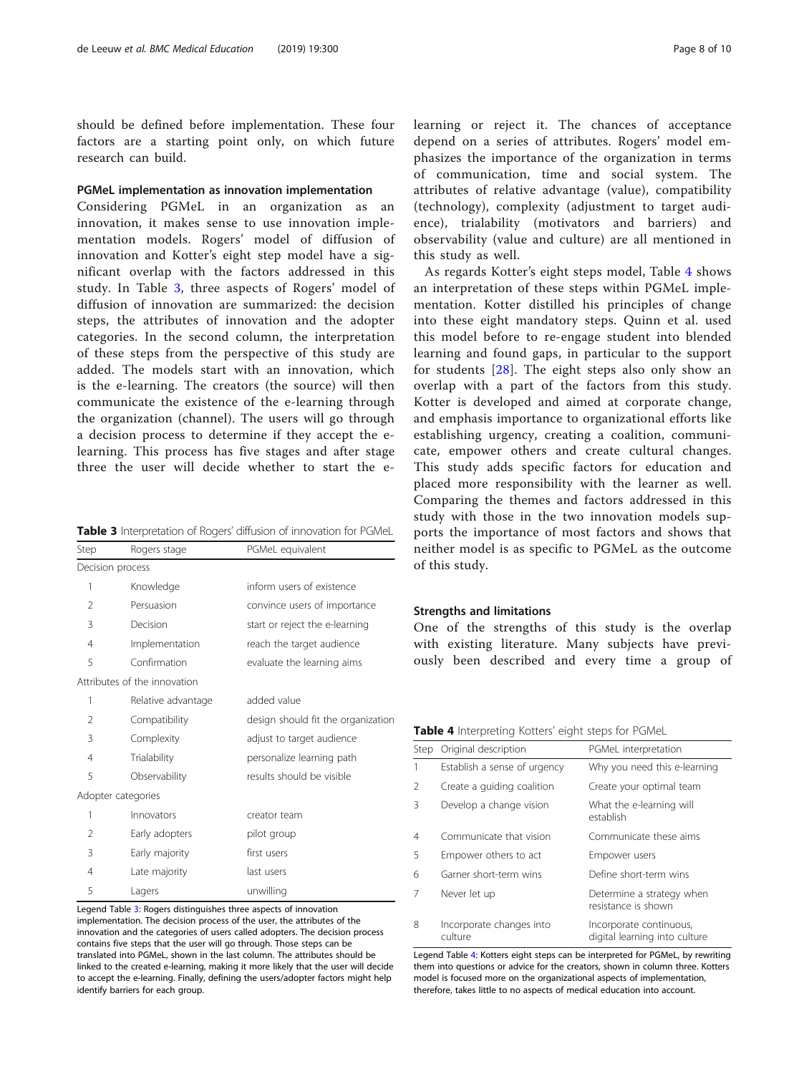de Leeuw et al. BMC Medical Education (2019) 19:300

should be defined before implementation. These four factors are a starting point only, on which future research can build.

## PGMeL implementation as innovation implementation

Considering PGMeL in an organization as an innovation, it makes sense to use innovation implementation models. Rogers' model of diffusion of innovation and Kotter's eight step model have a significant overlap with the factors addressed in this study. In Table 3, three aspects of Rogers' model of diffusion of innovation are summarized: the decision steps, the attributes of innovation and the adopter categories. In the second column, the interpretation of these steps from the perspective of this study are added. The models start with an innovation, which is the e-learning. The creators (the source) will then communicate the existence of the e-learning through the organization (channel). The users will go through a decision process to determine if they accept the elearning. This process has five stages and after stage three the user will decide whether to start the e-

|  | Table 3 Interpretation of Rogers' diffusion of innovation for PGMeL |  |  |  |  |
|--|---------------------------------------------------------------------|--|--|--|--|
|--|---------------------------------------------------------------------|--|--|--|--|

| Step                         | Rogers stage       | PGMeL equivalent                   |  |  |  |
|------------------------------|--------------------|------------------------------------|--|--|--|
|                              | Decision process   |                                    |  |  |  |
| 1                            | Knowledge          | inform users of existence          |  |  |  |
| 2                            | Persuasion         | convince users of importance       |  |  |  |
| 3                            | Decision           | start or reject the e-learning     |  |  |  |
| $\overline{4}$               | Implementation     | reach the target audience          |  |  |  |
| 5                            | Confirmation       | evaluate the learning aims         |  |  |  |
| Attributes of the innovation |                    |                                    |  |  |  |
| 1                            | Relative advantage | added value                        |  |  |  |
| $\mathcal{P}$                | Compatibility      | design should fit the organization |  |  |  |
| 3                            | Complexity         | adjust to target audience          |  |  |  |
| $\overline{4}$               | Trialability       | personalize learning path          |  |  |  |
| 5                            | Observability      | results should be visible          |  |  |  |
| Adopter categories           |                    |                                    |  |  |  |
| 1                            | Innovators         | creator team                       |  |  |  |
| 2                            | Early adopters     | pilot group                        |  |  |  |
| 3                            | Early majority     | first users                        |  |  |  |
| 4                            | Late majority      | last users                         |  |  |  |
| 5                            | Lagers             | unwilling                          |  |  |  |

Legend Table 3: Rogers distinguishes three aspects of innovation implementation. The decision process of the user, the attributes of the innovation and the categories of users called adopters. The decision process contains five steps that the user will go through. Those steps can be translated into PGMeL, shown in the last column. The attributes should be linked to the created e-learning, making it more likely that the user will decide to accept the e-learning. Finally, defining the users/adopter factors might help identify barriers for each group.

learning or reject it. The chances of acceptance depend on a series of attributes. Rogers' model emphasizes the importance of the organization in terms of communication, time and social system. The attributes of relative advantage (value), compatibility (technology), complexity (adjustment to target audience), trialability (motivators and barriers) and observability (value and culture) are all mentioned in this study as well.

As regards Kotter's eight steps model, Table 4 shows an interpretation of these steps within PGMeL implementation. Kotter distilled his principles of change into these eight mandatory steps. Quinn et al. used this model before to re-engage student into blended learning and found gaps, in particular to the support for students [\[28](#page-9-0)]. The eight steps also only show an overlap with a part of the factors from this study. Kotter is developed and aimed at corporate change, and emphasis importance to organizational efforts like establishing urgency, creating a coalition, communicate, empower others and create cultural changes. This study adds specific factors for education and placed more responsibility with the learner as well. Comparing the themes and factors addressed in this study with those in the two innovation models supports the importance of most factors and shows that neither model is as specific to PGMeL as the outcome of this study.

#### Strengths and limitations

One of the strengths of this study is the overlap with existing literature. Many subjects have previously been described and every time a group of

|  | Table 4 Interpreting Kotters' eight steps for PGMeL |  |
|--|-----------------------------------------------------|--|
|  |                                                     |  |

| Step          | Original description                | PGMeL interpretation                                     |
|---------------|-------------------------------------|----------------------------------------------------------|
|               | Establish a sense of urgency        | Why you need this e-learning                             |
| $\mathcal{P}$ | Create a guiding coalition          | Create your optimal team                                 |
| 3             | Develop a change vision             | What the e-learning will<br>establish                    |
| 4             | Communicate that vision             | Communicate these aims                                   |
| 5             | Empower others to act               | Empower users                                            |
| 6             | Garner short-term wins              | Define short-term wins                                   |
| 7             | Never let up                        | Determine a strategy when<br>resistance is shown         |
| 8             | Incorporate changes into<br>culture | Incorporate continuous,<br>digital learning into culture |

Legend Table 4: Kotters eight steps can be interpreted for PGMeL, by rewriting them into questions or advice for the creators, shown in column three. Kotters model is focused more on the organizational aspects of implementation, therefore, takes little to no aspects of medical education into account.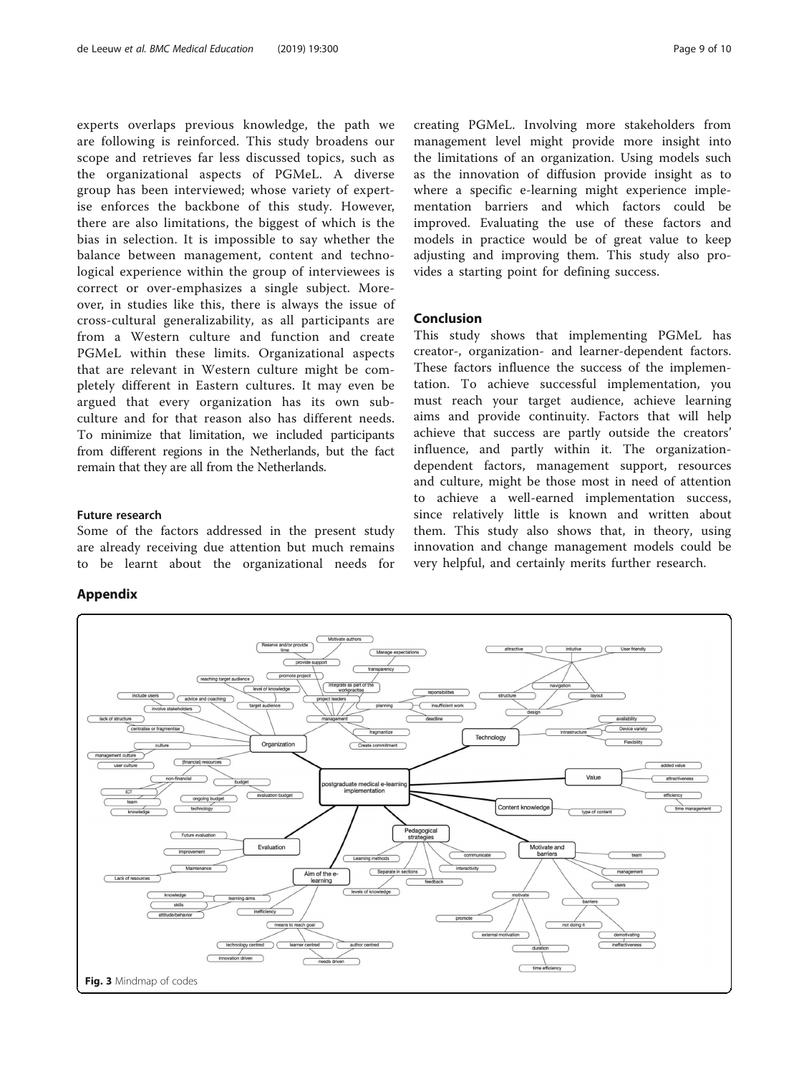<span id="page-8-0"></span>experts overlaps previous knowledge, the path we are following is reinforced. This study broadens our scope and retrieves far less discussed topics, such as the organizational aspects of PGMeL. A diverse group has been interviewed; whose variety of expertise enforces the backbone of this study. However, there are also limitations, the biggest of which is the bias in selection. It is impossible to say whether the balance between management, content and technological experience within the group of interviewees is correct or over-emphasizes a single subject. Moreover, in studies like this, there is always the issue of cross-cultural generalizability, as all participants are from a Western culture and function and create PGMeL within these limits. Organizational aspects that are relevant in Western culture might be completely different in Eastern cultures. It may even be argued that every organization has its own subculture and for that reason also has different needs. To minimize that limitation, we included participants from different regions in the Netherlands, but the fact remain that they are all from the Netherlands.

#### Future research

Some of the factors addressed in the present study are already receiving due attention but much remains to be learnt about the organizational needs for

## Appendix

creating PGMeL. Involving more stakeholders from management level might provide more insight into the limitations of an organization. Using models such as the innovation of diffusion provide insight as to where a specific e-learning might experience implementation barriers and which factors could be improved. Evaluating the use of these factors and models in practice would be of great value to keep adjusting and improving them. This study also provides a starting point for defining success.

## Conclusion

This study shows that implementing PGMeL has creator-, organization- and learner-dependent factors. These factors influence the success of the implementation. To achieve successful implementation, you must reach your target audience, achieve learning aims and provide continuity. Factors that will help achieve that success are partly outside the creators' influence, and partly within it. The organizationdependent factors, management support, resources and culture, might be those most in need of attention to achieve a well-earned implementation success, since relatively little is known and written about them. This study also shows that, in theory, using innovation and change management models could be very helpful, and certainly merits further research.